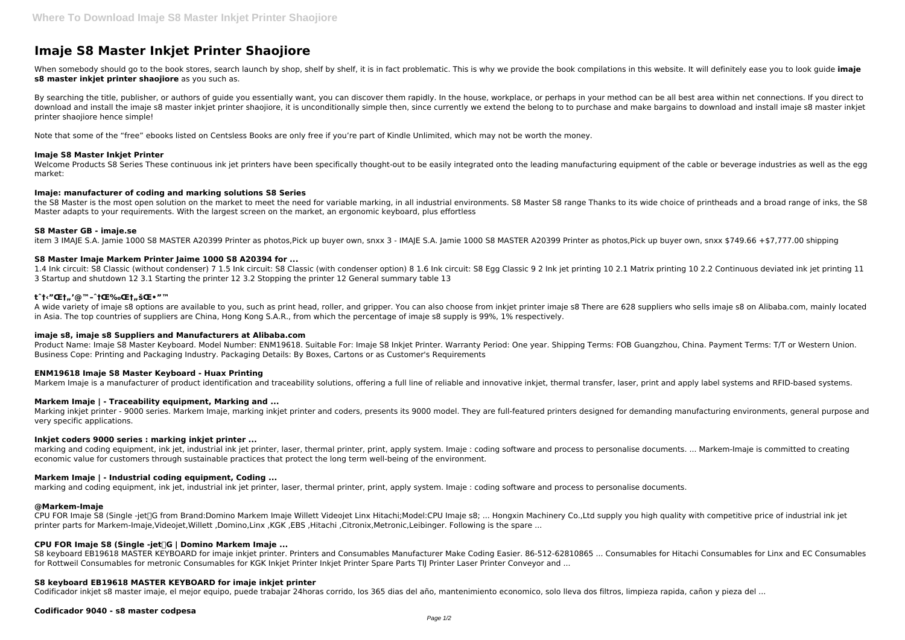# **Imaje S8 Master Inkjet Printer Shaojiore**

When somebody should go to the book stores, search launch by shop, shelf by shelf, it is in fact problematic. This is why we provide the book compilations in this website. It will definitely ease you to look guide imaje **s8 master inkjet printer shaojiore** as you such as.

By searching the title, publisher, or authors of guide you essentially want, you can discover them rapidly. In the house, workplace, or perhaps in your method can be all best area within net connections. If you direct to download and install the imaje s8 master inkjet printer shaojiore, it is unconditionally simple then, since currently we extend the belong to to purchase and make bargains to download and install imaje s8 master inkjet printer shaojiore hence simple!

Welcome Products S8 Series These continuous ink jet printers have been specifically thought-out to be easily integrated onto the leading manufacturing equipment of the cable or beverage industries as well as the egg market:

Note that some of the "free" ebooks listed on Centsless Books are only free if you're part of Kindle Unlimited, which may not be worth the money.

#### **Imaje S8 Master Inkjet Printer**

1.4 Ink circuit: S8 Classic (without condenser) 7 1.5 Ink circuit: S8 Classic (with condenser option) 8 1.6 Ink circuit: S8 Egg Classic 9 2 Ink jet printing 10 2.1 Matrix printing 10 2.2 Continuous deviated ink jet printin 3 Startup and shutdown 12 3.1 Starting the printer 12 3.2 Stopping the printer 12 General summary table 13

#### **Imaje: manufacturer of coding and marking solutions S8 Series**

the S8 Master is the most open solution on the market to meet the need for variable marking, in all industrial environments. S8 Master S8 range Thanks to its wide choice of printheads and a broad range of inks, the S8 Master adapts to your requirements. With the largest screen on the market, an ergonomic keyboard, plus effortless

#### **S8 Master GB - imaje.se**

item 3 IMAJE S.A. Jamie 1000 S8 MASTER A20399 Printer as photos,Pick up buyer own, snxx 3 - IMAJE S.A. Jamie 1000 S8 MASTER A20399 Printer as photos,Pick up buyer own, snxx \$749.66 +\$7,777.00 shipping

Marking inkjet printer - 9000 series. Markem Imaje, marking inkjet printer and coders, presents its 9000 model. They are full-featured printers designed for demanding manufacturing environments, general purpose and very specific applications.

# **S8 Master Imaje Markem Printer Jaime 1000 S8 A20394 for ...**

#### **tˆ†‹"Œ†"'@™–ˆ†Œ‰Œ†"šŒ•"™**

CPU FOR Imaje S8 (Single -jet<sup> G</sup> from Brand:Domino Markem Imaje Willett Videojet Linx Hitachi:Model:CPU Imaje s8; ... Hongxin Machinery Co.,Ltd supply you high quality with competitive price of industrial ink jet printer parts for Markem-Imaje,Videojet,Willett ,Domino,Linx ,KGK ,EBS ,Hitachi ,Citronix,Metronic,Leibinger. Following is the spare ...

A wide variety of imaje s8 options are available to you, such as print head, roller, and gripper. You can also choose from inkjet printer imaje s8 There are 628 suppliers who sells imaje s8 on Alibaba.com, mainly located in Asia. The top countries of suppliers are China, Hong Kong S.A.R., from which the percentage of imaje s8 supply is 99%, 1% respectively.

# **imaje s8, imaje s8 Suppliers and Manufacturers at Alibaba.com**

Product Name: Imaje S8 Master Keyboard. Model Number: ENM19618. Suitable For: Imaje S8 Inkjet Printer. Warranty Period: One year. Shipping Terms: FOB Guangzhou, China. Payment Terms: T/T or Western Union. Business Cope: Printing and Packaging Industry. Packaging Details: By Boxes, Cartons or as Customer's Requirements

# **ENM19618 Imaje S8 Master Keyboard - Huax Printing**

Markem Imaje is a manufacturer of product identification and traceability solutions, offering a full line of reliable and innovative inkjet, thermal transfer, laser, print and apply label systems and RFID-based systems.

# **Markem Imaje | - Traceability equipment, Marking and ...**

#### **Inkjet coders 9000 series : marking inkjet printer ...**

marking and coding equipment, ink jet, industrial ink jet printer, laser, thermal printer, print, apply system. Imaje : coding software and process to personalise documents. ... Markem-Imaje is committed to creating economic value for customers through sustainable practices that protect the long term well-being of the environment.

# **Markem Imaje | - Industrial coding equipment, Coding ...**

marking and coding equipment, ink jet, industrial ink jet printer, laser, thermal printer, print, apply system. Imaje : coding software and process to personalise documents.

# **@Markem-Imaje**

# **CPU FOR Imaje S8 (Single -jet)G | Domino Markem Imaje ...**

S8 keyboard EB19618 MASTER KEYBOARD for imaje inkjet printer. Printers and Consumables Manufacturer Make Coding Easier. 86-512-62810865 ... Consumables for Hitachi Consumables for Linx and EC Consumables for Rottweil Consumables for metronic Consumables for KGK Inkjet Printer Inkjet Printer Spare Parts TIJ Printer Laser Printer Conveyor and ...

# **S8 keyboard EB19618 MASTER KEYBOARD for imaje inkjet printer**

Codificador inkjet s8 master imaje, el mejor equipo, puede trabajar 24horas corrido, los 365 dias del año, mantenimiento economico, solo lleva dos filtros, limpieza rapida, cañon y pieza del ...

# **Codificador 9040 - s8 master codpesa**